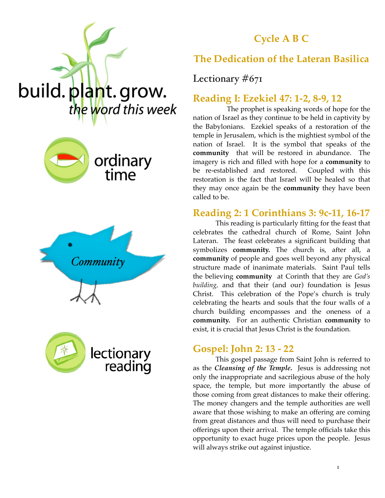

## **Cycle A B C**









### **The Dedication of the Lateran Basilica**

#### Lectionary  $#67I$

#### **Reading I: Ezekiel 47: 1-2, 8-9, 12**

The prophet is speaking words of hope for the nation of Israel as they continue to be held in captivity by the Babylonians. Ezekiel speaks of a restoration of the temple in Jerusalem, which is the mightiest symbol of the nation of Israel. It is the symbol that speaks of the **community** that will be restored in abundance. The imagery is rich and filled with hope for a **community** to be re-established and restored. Coupled with this restoration is the fact that Israel will be healed so that they may once again be the **community** they have been called to be.

#### **Reading 2: 1 Corinthians 3: 9c-11, 16-17**

This reading is particularly fitting for the feast that celebrates the cathedral church of Rome, Saint John Lateran. The feast celebrates a significant building that symbolizes **community.** The church is, after all, a **community** of people and goes well beyond any physical structure made of inanimate materials. Saint Paul tells the believing **community** at Corinth that they are *God's building,* and that their (and our) foundation is Jesus Christ. This celebration of the Pope's church is truly celebrating the hearts and souls that the four walls of a church building encompasses and the oneness of a **community.** For an authentic Christian **community** to exist, it is crucial that Jesus Christ is the foundation.

#### **Gospel: John 2: 13 - 22**

This gospel passage from Saint John is referred to as the *Cleansing of the Temple.* Jesus is addressing not only the inappropriate and sacrilegious abuse of the holy space, the temple, but more importantly the abuse of those coming from great distances to make their offering. The money changers and the temple authorities are well aware that those wishing to make an offering are coming from great distances and thus will need to purchase their offerings upon their arrival. The temple officials take this opportunity to exact huge prices upon the people. Jesus will always strike out against injustice.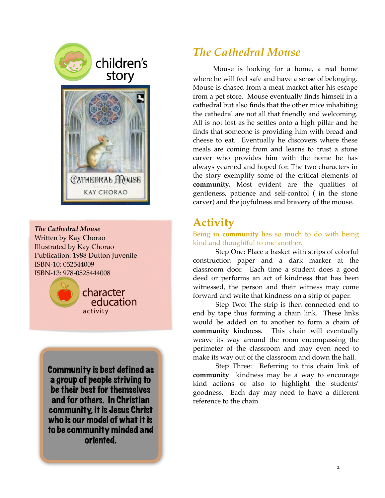



*The Cathedral Mouse* Written by Kay Chorao Illustrated by Kay Chorao Publication: 1988 Dutton Juvenile ISBN-10: 052544009 ISBN-13: 978-0525444008



Community is best defined as a group of people striving to be their best for themselves and for others. In Christian community, it is Jesus Christ who is our model of what it is to be community minded and oriented.

## *The Cathedral Mouse*

Mouse is looking for a home, a real home where he will feel safe and have a sense of belonging. Mouse is chased from a meat market after his escape from a pet store. Mouse eventually finds himself in a cathedral but also finds that the other mice inhabiting the cathedral are not all that friendly and welcoming. All is not lost as he settles onto a high pillar and he finds that someone is providing him with bread and cheese to eat. Eventually he discovers where these meals are coming from and learns to trust a stone carver who provides him with the home he has always yearned and hoped for. The two characters in the story exemplify some of the critical elements of **community.** Most evident are the qualities of gentleness, patience and self-control ( in the stone carver) and the joyfulness and bravery of the mouse.

# **Activity**

Being in **community** has so much to do with being kind and thoughtful to one another.

Step One: Place a basket with strips of colorful construction paper and a dark marker at the classroom door. Each time a student does a good deed or performs an act of kindness that has been witnessed, the person and their witness may come forward and write that kindness on a strip of paper.

Step Two: The strip is then connected end to end by tape thus forming a chain link. These links would be added on to another to form a chain of **community** kindness. This chain will eventually weave its way around the room encompassing the perimeter of the classroom and may even need to make its way out of the classroom and down the hall.

Step Three: Referring to this chain link of **community** kindness may be a way to encourage kind actions or also to highlight the students' goodness. Each day may need to have a different reference to the chain.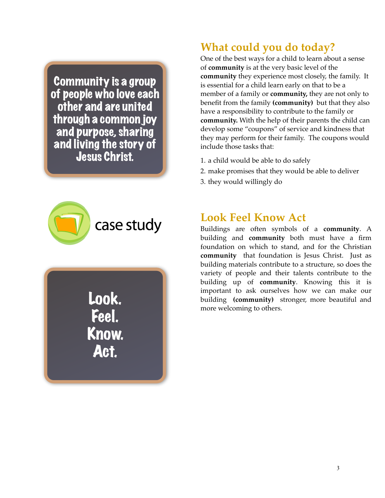Community is a group of people who love each other and are united through a common joy and purpose, sharing and living the story of Jesus Christ.



Look. Feel. Know. Act.

# **What could you do today?**

One of the best ways for a child to learn about a sense of **community** is at the very basic level of the **community** they experience most closely, the family. It is essential for a child learn early on that to be a member of a family or **community,** they are not only to benefit from the family **(community)** but that they also have a responsibility to contribute to the family or **community.** With the help of their parents the child can develop some "coupons" of service and kindness that they may perform for their family. The coupons would include those tasks that:

- 1. a child would be able to do safely
- 2. make promises that they would be able to deliver
- 3. they would willingly do

## **Look Feel Know Act**

Buildings are often symbols of a **community**. A building and **community** both must have a firm foundation on which to stand, and for the Christian **community** that foundation is Jesus Christ. Just as building materials contribute to a structure, so does the variety of people and their talents contribute to the building up of **community**. Knowing this it is important to ask ourselves how we can make our building **(community)** stronger, more beautiful and more welcoming to others.